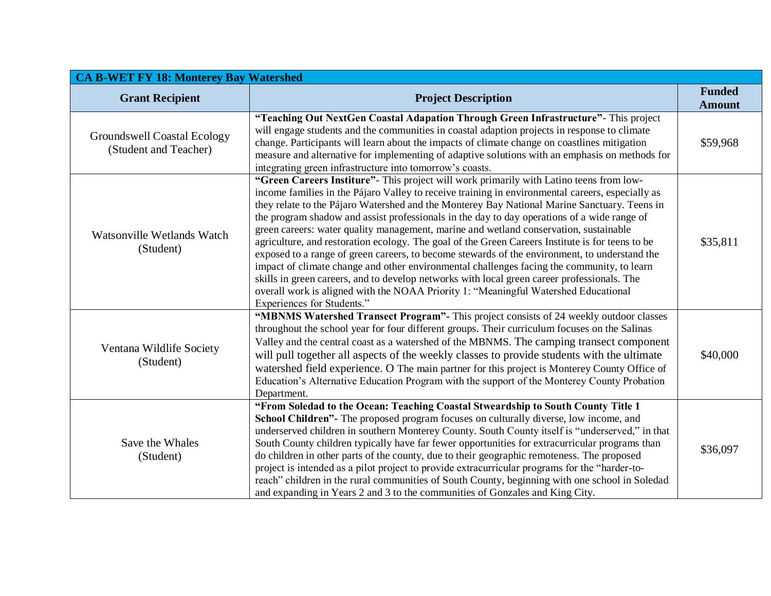| <b>CA B-WET FY 18: Monterey Bay Watershed</b>               |                                                                                                                                                                                                                                                                                                                                                                                                                                                                                                                                                                                                                                                                                                                                                                                                                                                                                                                                                                                                            |                                |  |
|-------------------------------------------------------------|------------------------------------------------------------------------------------------------------------------------------------------------------------------------------------------------------------------------------------------------------------------------------------------------------------------------------------------------------------------------------------------------------------------------------------------------------------------------------------------------------------------------------------------------------------------------------------------------------------------------------------------------------------------------------------------------------------------------------------------------------------------------------------------------------------------------------------------------------------------------------------------------------------------------------------------------------------------------------------------------------------|--------------------------------|--|
| <b>Grant Recipient</b>                                      | <b>Project Description</b>                                                                                                                                                                                                                                                                                                                                                                                                                                                                                                                                                                                                                                                                                                                                                                                                                                                                                                                                                                                 | <b>Funded</b><br><b>Amount</b> |  |
| <b>Groundswell Coastal Ecology</b><br>(Student and Teacher) | "Teaching Out NextGen Coastal Adapation Through Green Infrastructure" - This project<br>will engage students and the communities in coastal adaption projects in response to climate<br>change. Participants will learn about the impacts of climate change on coastlines mitigation<br>measure and alternative for implementing of adaptive solutions with an emphasis on methods for<br>integrating green infrastructure into tomorrow's coasts.                                                                                                                                                                                                                                                                                                                                                                                                                                                                                                                                                         | \$59,968                       |  |
| Watsonville Wetlands Watch<br>(Student)                     | "Green Careers Institure"- This project will work primarily with Latino teens from low-<br>income families in the Pájaro Valley to receive training in environmental careers, especially as<br>they relate to the Pájaro Watershed and the Monterey Bay National Marine Sanctuary. Teens in<br>the program shadow and assist professionals in the day to day operations of a wide range of<br>green careers: water quality management, marine and wetland conservation, sustainable<br>agriculture, and restoration ecology. The goal of the Green Careers Institute is for teens to be<br>exposed to a range of green careers, to become stewards of the environment, to understand the<br>impact of climate change and other environmental challenges facing the community, to learn<br>skills in green careers, and to develop networks with local green career professionals. The<br>overall work is aligned with the NOAA Priority 1: "Meaningful Watershed Educational<br>Experiences for Students." | \$35,811                       |  |
| Ventana Wildlife Society<br>(Student)                       | "MBNMS Watershed Transect Program"- This project consists of 24 weekly outdoor classes<br>throughout the school year for four different groups. Their curriculum focuses on the Salinas<br>Valley and the central coast as a watershed of the MBNMS. The camping transect component<br>will pull together all aspects of the weekly classes to provide students with the ultimate<br>watershed field experience. O The main partner for this project is Monterey County Office of<br>Education's Alternative Education Program with the support of the Monterey County Probation<br>Department.                                                                                                                                                                                                                                                                                                                                                                                                            | \$40,000                       |  |
| Save the Whales<br>(Student)                                | "From Soledad to the Ocean: Teaching Coastal Stweardship to South County Title 1<br>School Children"- The proposed program focuses on culturally diverse, low income, and<br>underserved children in southern Monterey County. South County itself is "underserved," in that<br>South County children typically have far fewer opportunities for extracurricular programs than<br>do children in other parts of the county, due to their geographic remoteness. The proposed<br>project is intended as a pilot project to provide extracurricular programs for the "harder-to-<br>reach" children in the rural communities of South County, beginning with one school in Soledad<br>and expanding in Years 2 and 3 to the communities of Gonzales and King City.                                                                                                                                                                                                                                           | \$36,097                       |  |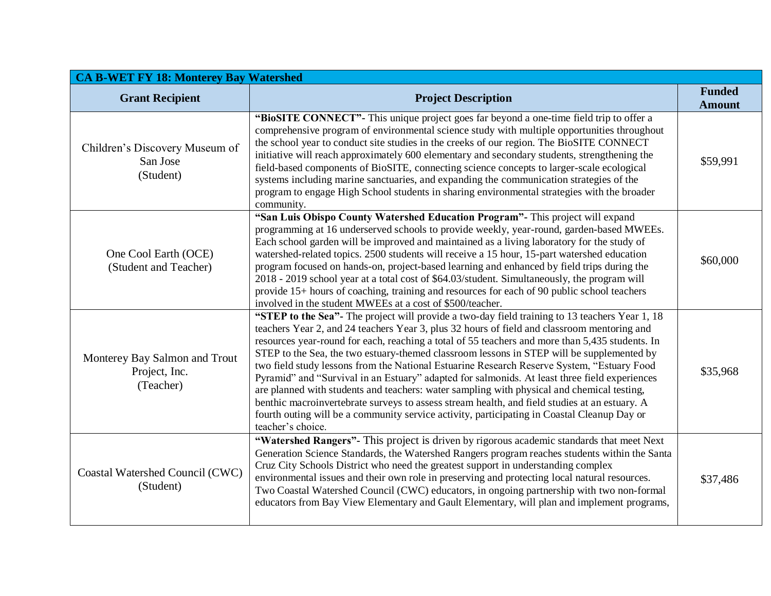| <b>CA B-WET FY 18: Monterey Bay Watershed</b>               |                                                                                                                                                                                                                                                                                                                                                                                                                                                                                                                                                                                                                                                                                                                                                                                                                                                                                                                 |                                |  |
|-------------------------------------------------------------|-----------------------------------------------------------------------------------------------------------------------------------------------------------------------------------------------------------------------------------------------------------------------------------------------------------------------------------------------------------------------------------------------------------------------------------------------------------------------------------------------------------------------------------------------------------------------------------------------------------------------------------------------------------------------------------------------------------------------------------------------------------------------------------------------------------------------------------------------------------------------------------------------------------------|--------------------------------|--|
| <b>Grant Recipient</b>                                      | <b>Project Description</b>                                                                                                                                                                                                                                                                                                                                                                                                                                                                                                                                                                                                                                                                                                                                                                                                                                                                                      | <b>Funded</b><br><b>Amount</b> |  |
| Children's Discovery Museum of<br>San Jose<br>(Student)     | "BIOSITE CONNECT"- This unique project goes far beyond a one-time field trip to offer a<br>comprehensive program of environmental science study with multiple opportunities throughout<br>the school year to conduct site studies in the creeks of our region. The BioSITE CONNECT<br>initiative will reach approximately 600 elementary and secondary students, strengthening the<br>field-based components of BioSITE, connecting science concepts to larger-scale ecological<br>systems including marine sanctuaries, and expanding the communication strategies of the<br>program to engage High School students in sharing environmental strategies with the broader<br>community.                                                                                                                                                                                                                         | \$59,991                       |  |
| One Cool Earth (OCE)<br>(Student and Teacher)               | "San Luis Obispo County Watershed Education Program" - This project will expand<br>programming at 16 underserved schools to provide weekly, year-round, garden-based MWEEs.<br>Each school garden will be improved and maintained as a living laboratory for the study of<br>watershed-related topics. 2500 students will receive a 15 hour, 15-part watershed education<br>program focused on hands-on, project-based learning and enhanced by field trips during the<br>2018 - 2019 school year at a total cost of \$64.03/student. Simultaneously, the program will<br>provide 15+ hours of coaching, training and resources for each of 90 public school teachers<br>involved in the student MWEEs at a cost of \$500/teacher.                                                                                                                                                                              | \$60,000                       |  |
| Monterey Bay Salmon and Trout<br>Project, Inc.<br>(Teacher) | "STEP to the Sea"- The project will provide a two-day field training to 13 teachers Year 1, 18<br>teachers Year 2, and 24 teachers Year 3, plus 32 hours of field and classroom mentoring and<br>resources year-round for each, reaching a total of 55 teachers and more than 5,435 students. In<br>STEP to the Sea, the two estuary-themed classroom lessons in STEP will be supplemented by<br>two field study lessons from the National Estuarine Research Reserve System, "Estuary Food<br>Pyramid" and "Survival in an Estuary" adapted for salmonids. At least three field experiences<br>are planned with students and teachers: water sampling with physical and chemical testing,<br>benthic macroinvertebrate surveys to assess stream health, and field studies at an estuary. A<br>fourth outing will be a community service activity, participating in Coastal Cleanup Day or<br>teacher's choice. | \$35,968                       |  |
| Coastal Watershed Council (CWC)<br>(Student)                | "Watershed Rangers"- This project is driven by rigorous academic standards that meet Next<br>Generation Science Standards, the Watershed Rangers program reaches students within the Santa<br>Cruz City Schools District who need the greatest support in understanding complex<br>environmental issues and their own role in preserving and protecting local natural resources.<br>Two Coastal Watershed Council (CWC) educators, in ongoing partnership with two non-formal<br>educators from Bay View Elementary and Gault Elementary, will plan and implement programs,                                                                                                                                                                                                                                                                                                                                     | \$37,486                       |  |